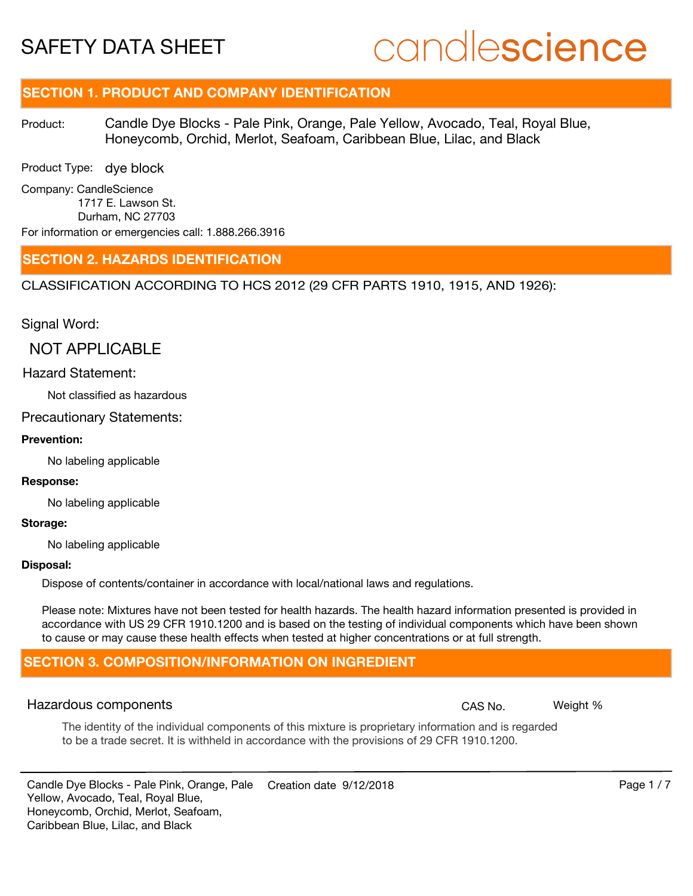# candlescience

# **SECTION 1. PRODUCT AND COMPANY IDENTIFICATION**

Candle Dye Blocks - Pale Pink, Orange, Pale Yellow, Avocado, Teal, Royal Blue, Honeycomb, Orchid, Merlot, Seafoam, Caribbean Blue, Lilac, and Black Product:

Product Type: dye block

Company: CandleScience 1717 E. Lawson St. Durham, NC 27703 For information or emergencies call: 1.888.266.3916

#### **SECTION 2. HAZARDS IDENTIFICATION**

CLASSIFICATION ACCORDING TO HCS 2012 (29 CFR PARTS 1910, 1915, AND 1926):

Signal Word:

NOT APPLICABLE

#### Hazard Statement:

Not classified as hazardous

#### Precautionary Statements:

#### **Prevention:**

No labeling applicable

#### **Response:**

No labeling applicable

#### **Storage:**

No labeling applicable

#### **Disposal:**

Dispose of contents/container in accordance with local/national laws and regulations.

Please note: Mixtures have not been tested for health hazards. The health hazard information presented is provided in accordance with US 29 CFR 1910.1200 and is based on the testing of individual components which have been shown to cause or may cause these health effects when tested at higher concentrations or at full strength.

### **SECTION 3. COMPOSITION/INFORMATION ON INGREDIENT**

#### Hazardous components **CAS No. The CAS No.** Weight %

The identity of the individual components of this mixture is proprietary information and is regarded to be a trade secret. It is withheld in accordance with the provisions of 29 CFR 1910.1200.

Candle Dye Blocks - Pale Pink, Orange, Pale Creation date  $9/12/2018$  Page 1 / 7 Yellow, Avocado, Teal, Royal Blue, Honeycomb, Orchid, Merlot, Seafoam, Caribbean Blue, Lilac, and Black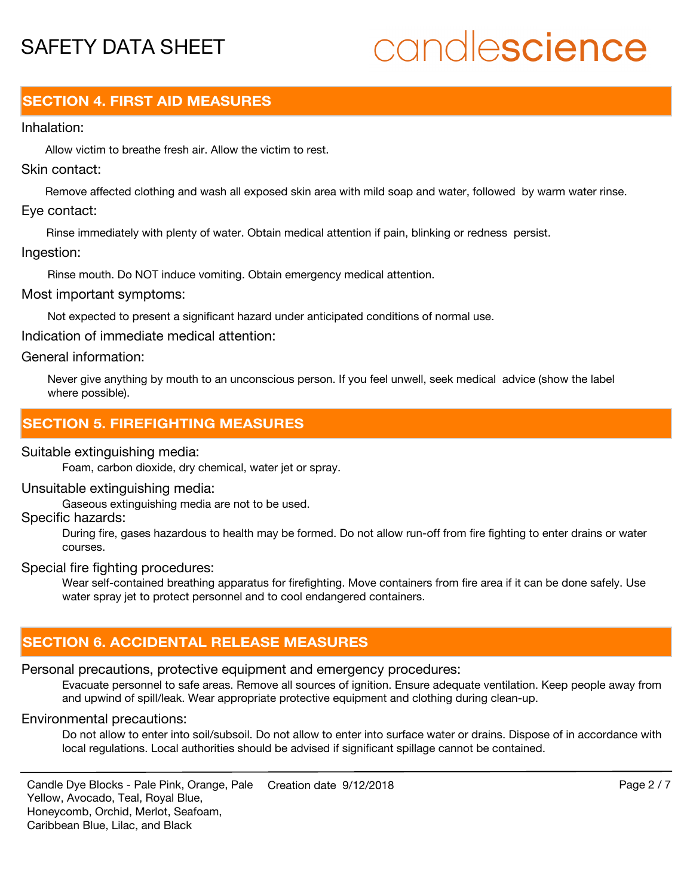# candlescience

# **SECTION 4. FIRST AID MEASURES**

#### Inhalation:

Allow victim to breathe fresh air. Allow the victim to rest.

### Skin contact:

Remove affected clothing and wash all exposed skin area with mild soap and water, followed by warm water rinse. Eye contact:

Rinse immediately with plenty of water. Obtain medical attention if pain, blinking or redness persist.

#### Ingestion:

Rinse mouth. Do NOT induce vomiting. Obtain emergency medical attention.

Most important symptoms:

Not expected to present a significant hazard under anticipated conditions of normal use.

Indication of immediate medical attention:

### General information:

Never give anything by mouth to an unconscious person. If you feel unwell, seek medical advice (show the label where possible).

# **SECTION 5. FIREFIGHTING MEASURES**

### Suitable extinguishing media:

Foam, carbon dioxide, dry chemical, water jet or spray.

#### Unsuitable extinguishing media:

Gaseous extinguishing media are not to be used.

### Specific hazards:

During fire, gases hazardous to health may be formed. Do not allow run-off from fire fighting to enter drains or water courses.

#### Special fire fighting procedures:

Wear self-contained breathing apparatus for firefighting. Move containers from fire area if it can be done safely. Use water spray jet to protect personnel and to cool endangered containers.

# **SECTION 6. ACCIDENTAL RELEASE MEASURES**

# Personal precautions, protective equipment and emergency procedures:

Evacuate personnel to safe areas. Remove all sources of ignition. Ensure adequate ventilation. Keep people away from and upwind of spill/leak. Wear appropriate protective equipment and clothing during clean-up.

## Environmental precautions:

Do not allow to enter into soil/subsoil. Do not allow to enter into surface water or drains. Dispose of in accordance with local regulations. Local authorities should be advised if significant spillage cannot be contained.

Candle Dye Blocks - Pale Pink, Orange, Pale Creation date  $9/12/2018$  Page 2 / 7 Yellow, Avocado, Teal, Royal Blue, Honeycomb, Orchid, Merlot, Seafoam, Caribbean Blue, Lilac, and Black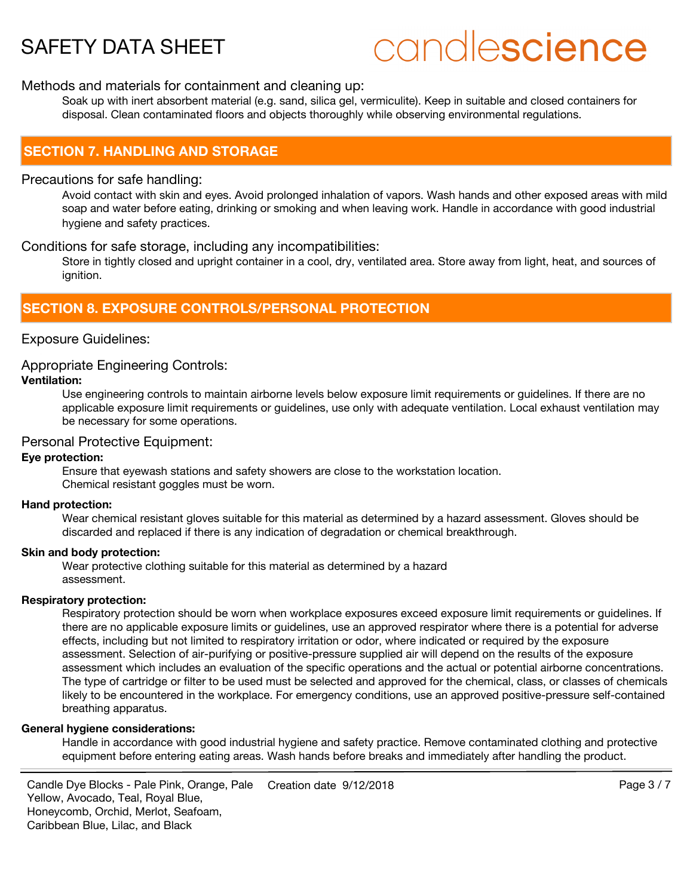# candlescience

#### Methods and materials for containment and cleaning up:

Soak up with inert absorbent material (e.g. sand, silica gel, vermiculite). Keep in suitable and closed containers for disposal. Clean contaminated floors and objects thoroughly while observing environmental regulations.

### **SECTION 7. HANDLING AND STORAGE**

#### Precautions for safe handling:

Avoid contact with skin and eyes. Avoid prolonged inhalation of vapors. Wash hands and other exposed areas with mild soap and water before eating, drinking or smoking and when leaving work. Handle in accordance with good industrial hygiene and safety practices.

#### Conditions for safe storage, including any incompatibilities:

Store in tightly closed and upright container in a cool, dry, ventilated area. Store away from light, heat, and sources of ignition.

# **SECTION 8. EXPOSURE CONTROLS/PERSONAL PROTECTION**

#### Exposure Guidelines:

#### Appropriate Engineering Controls:

#### **Ventilation:**

Use engineering controls to maintain airborne levels below exposure limit requirements or guidelines. If there are no applicable exposure limit requirements or guidelines, use only with adequate ventilation. Local exhaust ventilation may be necessary for some operations.

#### Personal Protective Equipment:

#### **Eye protection:**

Ensure that eyewash stations and safety showers are close to the workstation location. Chemical resistant goggles must be worn.

#### **Hand protection:**

Wear chemical resistant gloves suitable for this material as determined by a hazard assessment. Gloves should be discarded and replaced if there is any indication of degradation or chemical breakthrough.

#### **Skin and body protection:**

Wear protective clothing suitable for this material as determined by a hazard assessment.

#### **Respiratory protection:**

Respiratory protection should be worn when workplace exposures exceed exposure limit requirements or guidelines. If there are no applicable exposure limits or guidelines, use an approved respirator where there is a potential for adverse effects, including but not limited to respiratory irritation or odor, where indicated or required by the exposure assessment. Selection of air-purifying or positive-pressure supplied air will depend on the results of the exposure assessment which includes an evaluation of the specific operations and the actual or potential airborne concentrations. The type of cartridge or filter to be used must be selected and approved for the chemical, class, or classes of chemicals likely to be encountered in the workplace. For emergency conditions, use an approved positive-pressure self-contained breathing apparatus.

#### **General hygiene considerations:**

Handle in accordance with good industrial hygiene and safety practice. Remove contaminated clothing and protective equipment before entering eating areas. Wash hands before breaks and immediately after handling the product.

Candle Dye Blocks - Pale Pink, Orange, Pale Page 3 / 7 Creation date 9/12/2018Yellow, Avocado, Teal, Royal Blue, Honeycomb, Orchid, Merlot, Seafoam, Caribbean Blue, Lilac, and Black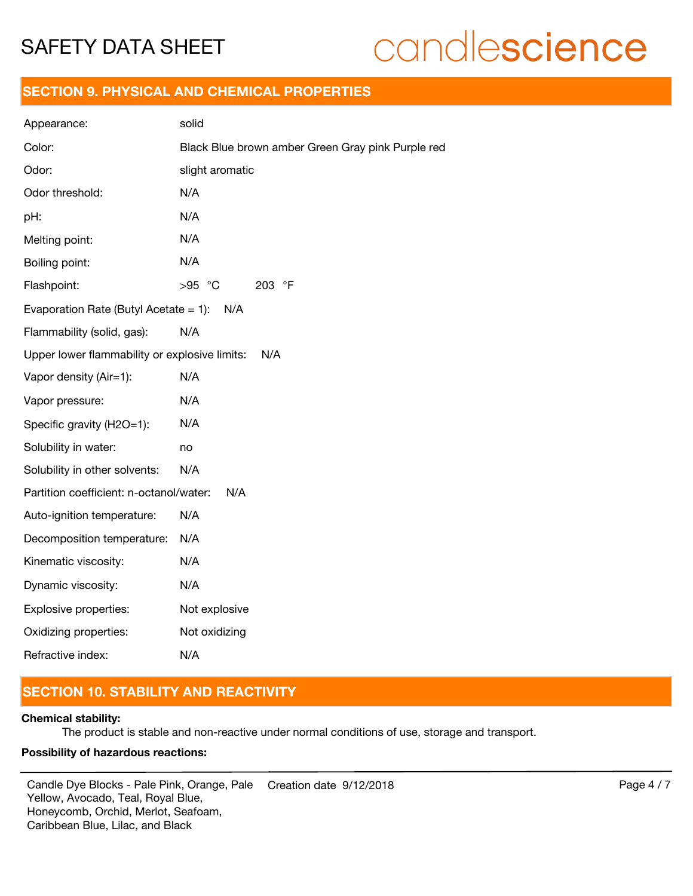# candlescience

## **SECTION 9. PHYSICAL AND CHEMICAL PROPERTIES**

| Appearance:                                   | solid                                             |
|-----------------------------------------------|---------------------------------------------------|
| Color:                                        | Black Blue brown amber Green Gray pink Purple red |
| Odor:                                         | slight aromatic                                   |
| Odor threshold:                               | N/A                                               |
| pH:                                           | N/A                                               |
| Melting point:                                | N/A                                               |
| Boiling point:                                | N/A                                               |
| Flashpoint:                                   | >95 °C<br>203 °F                                  |
| Evaporation Rate (Butyl Acetate = 1):         | N/A                                               |
| Flammability (solid, gas):                    | N/A                                               |
| Upper lower flammability or explosive limits: | N/A                                               |
| Vapor density (Air=1):                        | N/A                                               |
| Vapor pressure:                               | N/A                                               |
| Specific gravity (H2O=1):                     | N/A                                               |
| Solubility in water:                          | no                                                |
| Solubility in other solvents:                 | N/A                                               |
| Partition coefficient: n-octanol/water:       | N/A                                               |
| Auto-ignition temperature:                    | N/A                                               |
| Decomposition temperature:                    | N/A                                               |
| Kinematic viscosity:                          | N/A                                               |
| Dynamic viscosity:                            | N/A                                               |
| Explosive properties:                         | Not explosive                                     |
| Oxidizing properties:                         | Not oxidizing                                     |
| Refractive index:                             | N/A                                               |

# **SECTION 10. STABILITY AND REACTIVITY**

#### **Chemical stability:**

The product is stable and non-reactive under normal conditions of use, storage and transport.

#### **Possibility of hazardous reactions:**

Candle Dye Blocks - Pale Pink, Orange, Pale Creation date  $9/12/2018$  Page 4 / 7 Yellow, Avocado, Teal, Royal Blue, Honeycomb, Orchid, Merlot, Seafoam, Caribbean Blue, Lilac, and Black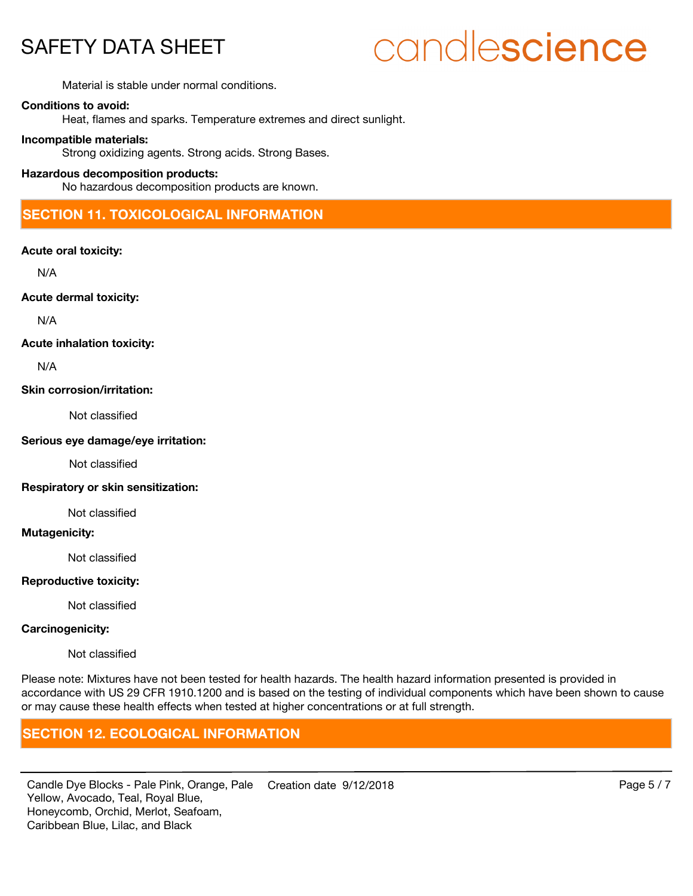# candlescience

Material is stable under normal conditions.

#### **Conditions to avoid:**

Heat, flames and sparks. Temperature extremes and direct sunlight.

#### **Incompatible materials:**

Strong oxidizing agents. Strong acids. Strong Bases.

#### **Hazardous decomposition products:**

No hazardous decomposition products are known.

# **SECTION 11. TOXICOLOGICAL INFORMATION**

#### **Acute oral toxicity:**

N/A

**Acute dermal toxicity:**

N/A

#### **Acute inhalation toxicity:**

N/A

#### **Skin corrosion/irritation:**

Not classified

#### **Serious eye damage/eye irritation:**

Not classified

#### **Respiratory or skin sensitization:**

Not classified

#### **Mutagenicity:**

Not classified

#### **Reproductive toxicity:**

Not classified

#### **Carcinogenicity:**

Not classified

Please note: Mixtures have not been tested for health hazards. The health hazard information presented is provided in accordance with US 29 CFR 1910.1200 and is based on the testing of individual components which have been shown to cause or may cause these health effects when tested at higher concentrations or at full strength.

## **SECTION 12. ECOLOGICAL INFORMATION**

Candle Dye Blocks - Pale Pink, Orange, Pale Creation date  $9/12/2018$  Page 5 / 7 Yellow, Avocado, Teal, Royal Blue, Honeycomb, Orchid, Merlot, Seafoam, Caribbean Blue, Lilac, and Black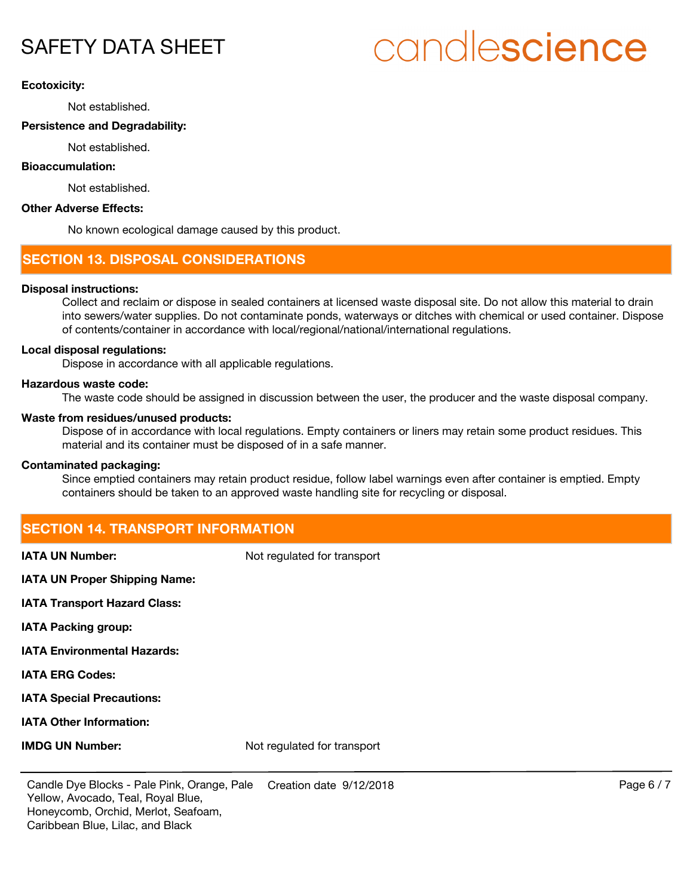# candlescience

#### **Ecotoxicity:**

Not established.

#### **Persistence and Degradability:**

Not established.

#### **Bioaccumulation:**

Not established.

#### **Other Adverse Effects:**

No known ecological damage caused by this product.

## **SECTION 13. DISPOSAL CONSIDERATIONS**

#### **Disposal instructions:**

Collect and reclaim or dispose in sealed containers at licensed waste disposal site. Do not allow this material to drain into sewers/water supplies. Do not contaminate ponds, waterways or ditches with chemical or used container. Dispose of contents/container in accordance with local/regional/national/international regulations.

#### **Local disposal regulations:**

Dispose in accordance with all applicable regulations.

#### **Hazardous waste code:**

The waste code should be assigned in discussion between the user, the producer and the waste disposal company.

#### **Waste from residues/unused products:**

Dispose of in accordance with local regulations. Empty containers or liners may retain some product residues. This material and its container must be disposed of in a safe manner.

#### **Contaminated packaging:**

Since emptied containers may retain product residue, follow label warnings even after container is emptied. Empty containers should be taken to an approved waste handling site for recycling or disposal.

## **SECTION 14. TRANSPORT INFORMATION**

**IATA UN Number:** Not regulated for transport

**IATA UN Proper Shipping Name:**

**IATA Transport Hazard Class:**

**IATA Packing group:**

**IATA Environmental Hazards:**

**IATA ERG Codes:**

**IATA Special Precautions:**

**IATA Other Information:**

**IMDG UN Number:** Not regulated for transport

Candle Dye Blocks - Pale Pink, Orange, Pale Creation date  $9/12/2018$  Page 6 / 7 Yellow, Avocado, Teal, Royal Blue, Honeycomb, Orchid, Merlot, Seafoam, Caribbean Blue, Lilac, and Black